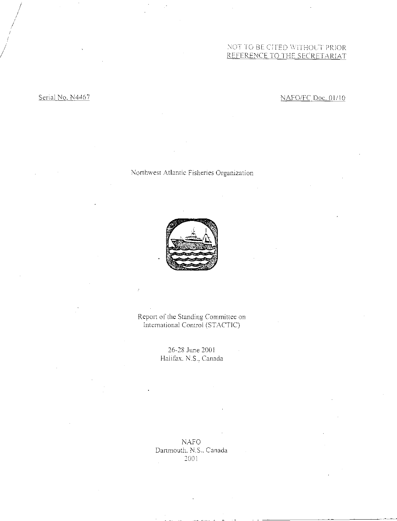# NOT TO BE CITED wimiouT PRIOR REFERENCE TO THE SECRETARIAT

# Serial No. N4467 NAFOIFC Doc. 01/10

# Northwest Atlantic Fisheries Organization



Report of the Standing Committee on International Control (STACTIC)

> 26-28 June 2001 Halifax. N.S., Canada

NAFO Dartmouth. N.S.. Canada 2001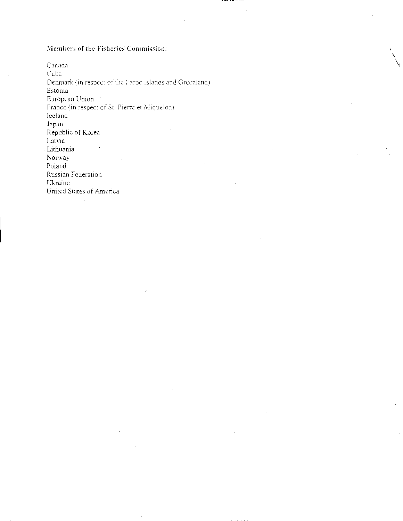# Members of the Fisheries Commission:

Canada Cuba Denmark (in respect of the Faroe Islands and Greenland) Estonia European Union France (in respect of St. Pierre et Miquelon) Iceland Japan Republic of Korea Latvia - Lithuania Norway Poland Russian Federation Ukraine United States of America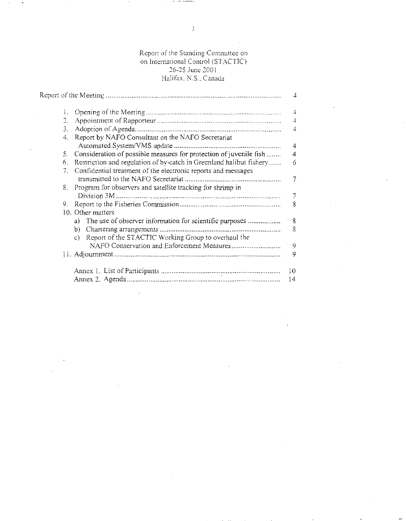# Report of the Standing Committee on on International Control (STACTIC) 26-28 June 2001 Halifax. N.S., Canada

|                |                                                                      | 4  |
|----------------|----------------------------------------------------------------------|----|
| 1.             |                                                                      | 4  |
| 2.             |                                                                      | 4  |
| 3.             |                                                                      | 4  |
| 4.             | Report by NAFO Consultant on the NAFO Secretariat                    |    |
|                |                                                                      | 4  |
| 5.             | Consideration of possible measures for protection of juvenile fish   | 4  |
| 6.             | Restriction and regulation of by-catch in Greenland halibut fishery  | 6  |
| 7 <sub>1</sub> | Confidential treatment of the electronic reports and messages        |    |
|                |                                                                      |    |
| 8.             | Program for observers and satellite tracking for shrimp in           |    |
|                |                                                                      |    |
| 9.             |                                                                      | 8  |
|                | 10. Other matters                                                    |    |
|                | a) The use of observer information for scientific purposes           | 8  |
|                | b)                                                                   | 8  |
|                | Report of the STACTIC Working Group to overhaul the<br>$\mathcal{C}$ |    |
|                |                                                                      | 9  |
|                |                                                                      | 9  |
|                |                                                                      | 10 |
|                |                                                                      | 14 |

ŀ.

 $\ddot{\phantom{0}}$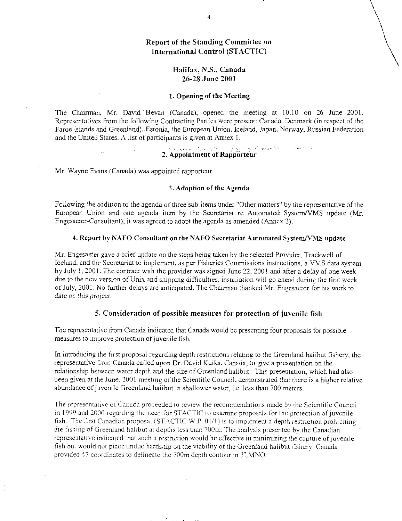# <sup>4</sup><br>ding Committee on<br>ntrol (STACTIC)<br>.S., Canada Report of the Standing Committee on International Control (STACTIC)

# Halifax, N.S., Canada 26-28 June 2001

#### 1. Opening of the Meeting

The Chairman, Mr. David Bevan (Canada), opened the meeting at 10.10 on 26 June 2001. Representatives from the following Contracting Parties were present: Canada, Denmark (in respect of the Faroe Islands and Greenland), Estonia, the European Union, Iceland, Japan, Norway, Russian Federation and the United States. A list of participants is given at Annex 1.

# 2. Appointment of Rapporteur

Mr. Wayne Evans (Canada) was appointed rapporteur.

 $\hat{\mathcal{L}}$ 

#### 3. Adoption of the Agenda

Following the addition to the agenda of three sub-items under "Other matters" by the representative of the European Union and one agenda item by the Secretariat re Automated System/VMS update (Mr. Engesaeter-Consultant), it was agreed to adopt the agenda as amended (Annex 2).

### 4. Report by NAFO Consultant on the NAFO Secretariat Automated System/VMS update

Mr. Engesaeter gave a brief update on the steps being taken by the selected Provider, Trackwell of Iceland, and the Secretariat to implement, as per Fisheries Commissions instructions, a VMS data system by July 1, 2001. The contract with the provider was signed June 22, 2001 and after a delay of one week due to the new version of Unix and shipping difficulties, installation will go ahead during the first week of July, 2001. No further delays are anticipated. The Chairman thanked Mr. Engesaeter for his work to *date* on this *project.* 

# 5. Consideration of possible measures for protection of juvenile fish

The representative from Canada indicated that Canada would be presenting four proposals for possible measures to improve protection of juvenile fish.

In introducing the first proposal regarding depth restrictions relating to the Greenland halibut fishery, the representative from Canada called upon Dr. David Kulka, Canada, to give a presentation on the relationship between water depth and the size of Greenland halibut. This presentation, which had also been given at the June. 2001 meeting of the Scientific Council, demonstrated that there is a higher relative abundance of juvenile Greenland halibut in shallower water, i.e. less than 700 meters.

The representative of Canada proceeded to review the recommendations made by the Scientific Council in 1999 and 2000 regarding the need for STACTIC to examine proposals for the protection of juvenile fish. The first Canadian proposal (STACTIC W.P. 0l/1) is to implement a depth restriction prohibiting the fishing of Greenland halibut at depths less than 700m. The analysis presented by the Canadian representative indicated that such a restriction would be effective in minimizing the capture of juvenile fish but would not place undue hardship on the viability of the Greenland halibut fishery. Canada provided 47 coordinates to delineate the 700m depth contour in 3LMNO.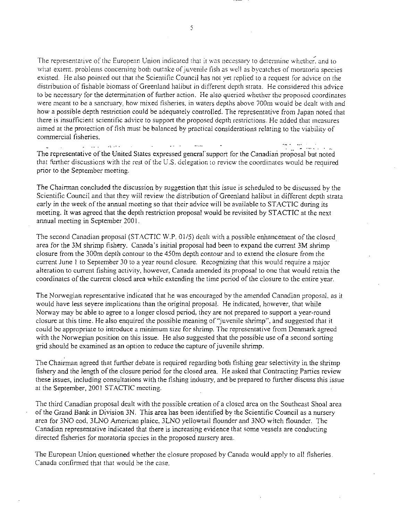The representative of the European Union indicated that it was necessary to determine whether. and to what extent. problems concerning both outtake of juvenile fish as well as bycatches of moratoria species existed. He also pointed out that the Scientific Council has not yet replied to a request for advice on the distribution of fishable biomass of Greenland halibut in different depth strata. He considered this advice to be necessary for the determination of further action. He also queried whether the proposed coordinates were meant to be a sanctuary, how mixed fisheries, in waters depths above 700m would be dealt with and how a possible depth restriction could be adequately controlled. The representative from Japan noted that there is insufficient scientific advice to support the proposed depth restrictions. He added that measures aimed at the protection of fish must be balanced by practical considerations relating to the viability of commercial fisheries.

The representative of the United States expressed general support for the Canadian proposal but noted that further discussions with the rest of the U.S. delegation to review the coordinates would be required prior to the September meeting.

The Chairman concluded the discussion by suggestion that this issue is scheduled to be discussed by the Scientific Council and that they will review the distribution of Greenland halibut in different depth strata early in the week of the annual meeting so that their advice will be available to STACTIC during its meeting. It was agreed that the depth restriction proposal would be revisited by STACTIC at the next annual meeting in September 2001.

The second Canadian proposal (STACTIC W.P. 01/5) dealt with a possible enhancement of the closed . area for the 3M shrimp fishery. Canada's initial proposal had been to expand the current 3M shrimp closure from the 300m depth contour to the 450m depth contour and to extend the closure from the current June 1 to September 30 to a year round closure. Recognizing that this would require a major alteration to current fishing activity, however, Canada amended its proposal to one that would retain the coordinates of the current closed area while extending the time period of the closure to the entire year.

The Norwegian representative indicated that he was encouraged by the amended Canadian proposal, as it would have less severe implications than the original proposal. He indicated, however, that while Norway may be able to agree to a longer closed period, they are not prepared to support a year-round closure at this time. He also enquired the possible meaning of "juvenile shrimp", and suggested that it could be appropriate to introduce a minimum size for shrimp. The representative from Denmark agreed with the Norwegian position on this issue. He also suggested that the possible use of a second sorting grid should be examined as an option to reduce the capture of juvenile shrimp.

The Chairman agreed that further debate is required regarding both fishing gear selectivity in the shrimp fishery and the length of the closure period for the closed area. He asked that Contracting Parties review these issues, including consultations with the fishing industry, and be prepared to further discuss this issue at the September, 2001 STACTIC meeting.

The third Canadian proposal dealt with the possible creation of a closed area on the Southeast Shoal area of the Grand Bank in Division 3N. This area has been identified by the Scientific Council as a nursery area for 3NO cod, 3LNO American plaice, 3LNO yellowtail flounder and 3NO witch flounder. The Canadian representative indicated that there is increasing evidence that some vessels are conducting directed fisheries for moratoria species in the proposed nursery area.

The European Union questioned whether the closure proposed by Canada would apply to all fisheries. Canada confirmed that that would be the case.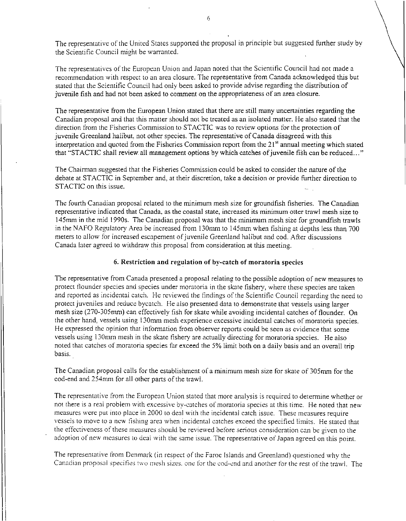The representative of the United States supported the proposal in principle but suggested further study by the Scientific Council might be warranted.

The representatives of the European Union and Japan noted that the Scientific Council had not made a recommendation with respect to an area closure. The representative from Canada acknowledged this but stated that the Scientific Council had only been asked to provide advise regarding the distribution of juvenile fish and had not been asked to comment on the appropriateness of an area closure.

The representative from the European Union stated that there are still many uncertainties regarding the Canadian proposal and that this matter should not be treated as an isolated matter. He also stated that the direction from the Fisheries Commission to STACTIC was to review options for the protection of juvenile Greenland halibut, not other species. The representative of Canada disagreed with this interpretation and quoted from the Fisheries Commission report from the  $21<sup>st</sup>$  annual meeting which stated that "STACTIC shall review, all management options by which catches of juvenile fish can be reduced..."

The Chairman suggested that the Fisheries Commission could be asked to consider the nature of the debate at STACTIC in September and, at their discretion, take a decision or provide further direction to STACTIC on this issue.

The fourth Canadian proposal related to the minimum mesh size for groundfish fisheries. The Canadian representative indicated that Canada, as the coastal state, increased its minimum otter trawl mesh size to 145mm in the mid 1990s. The Canadian proposal was that the minimum mesh size for groundfish trawls in the NAFO Regulatory Area be increased from 130mm to 145mm when fishing at depths less than 700 meters to allow for increased escapement of juvenile Greenland halibut and cod. After discussions Canada later agreed to withdraw this proposal from consideration at this meeting.

# 6. Restriction and regulation of by-catch of moratoria species

The representative from Canada presented a proposal relating to the possible adoption of new measures to protect flounder species and species under moratoria in the skate fishery, where these species are taken and reported as incidental catch. He reviewed the findings of the Scientific Council regarding the need to protect juveniles and reduce bycatch. He also presented data to demonstrate that vessels using larger mesh size (270-305mm) can effectively fish for skate while avoiding incidental catches of flounder. On the other hand, vessels using 130mm mesh experience excessive incidental catches of moratoria species. He expressed the opinion that information from observer reports could be seen as evidence that some vessels using 130mm mesh in the skate fishery are actually directing for moratoria species. He also noted that catches of moratoria species far exceed the 5% limit both on a daily basis and an overall trip basis.

The Canadian proposal calls for the establishment of a minimum mesh size for skate of 305mm for the cod-end and 254mm for all other pans of the trawl.

The representative from the European Union stated that more analysis is required to determine whether or not there is a real problem with excessive by-catches of moratoria species at this time. He noted that new measures were put into place in 2000 to deal with the incidental catch issue. These measures require vessels to move to a new fishing area when incidental catches exceed the specified limits. He stated that the effectiveness of these measures should be reviewed before serious consideration can be given to the adoption of new measures to deal with the same issue. The representative of Japan agreed on this point.

The representative from Denmark (in respect of the Faroe Islands and Greenland) questioned why the Canadian proposal specifies two mesh sizes, one for the cod-end and another for the rest of the trawl. The

6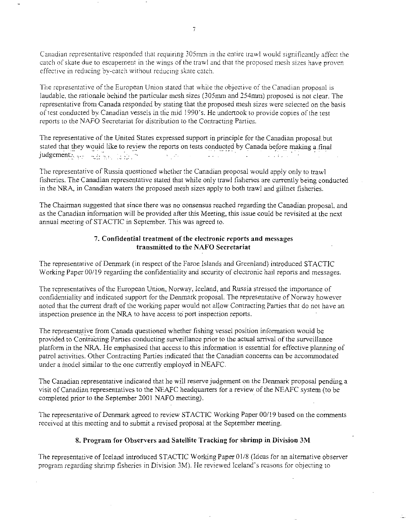Canadian representative responded that requiring 305mm in the entire trawl would significantly affect the catch of skate due to escapement in the wings of the trawl and that the proposed mesh sizes have proven effective in reducing by-catch without reducing skate catch.

The representative of the European Union stated that while the objective of the Canadian proposal is laudable, the rationale behind the particular mesh sizes (305mm and 254mm) proposed is not clear. The representative from Canada responded by stating that the proposed mesh sizes were selected on the basis of test conducted by Canadian vessels in the mid 1990's. He undertook to provide copies of the test reports to the NAFO Secretariat for distribution to the Contracting Parties.

The representative of the United States expressed support in principle for the Canadian proposal.but stated that they would like to review the reports on tests conducted by Canada before making a final independent. j udgement.-2 .,.\_ \_,:: .....

The representative of Russia questioned whether the Canadian proposal would apply only to trawl fisheries. The Canadian representative stated that while only trawl fisheries are currently being conducted in the NRA, in Canadian waters the proposed mesh sizes apply to both trawl and gillnet fisheries.

The Chairman suggested that since there was no consensus reached regarding the Canadian proposal, and as the Canadian information will be provided after this Meeting, this issue could be revisited at the next annual meeting of STACTIC in September. This was agreed to.

# 7. Confidential treatment of the electronic reports and messages transmitted to the NAFO Secretariat

The representative of Denmark (in respect of the Faroe Islands and Greenland) introduced STACTIC Working Paper 00/19 regarding the confidentiality and security of electronic hail reports and messages.

The representatives of the European Union, Norway, Iceland, and Russia stressed the importance of confidentiality and indicated support for the Denmark proposal. The representative of Norway however noted that the current draft of the working paper would not allow Contracting Panics that do not have an inspection presence in the NRA to have access to port inspection reports.

The representative from Canada questioned whether fishing vessel position information would be provided to Contracting Parties conducting surveillance prior to the actual arrival of the surveillance platform in the NRA. He emphasised that access to this information is essential for effective planning of patrol activities. Other Contracting Parties indicated that the Canadian concerns can be accommodated under a model similar to the one currently employed in NEAFC.

The Canadian representative indicated that he will reserve judgement on the Denmark proposal pending a visit of Canadian representatives to the NEAFC headquarters for a review of the NEAFC system (to be completed prior to the September 2001 NAFO meeting).

The representative of Denmark agreed to review STACTIC Working Paper 00/19 based on the comments received at this meeting and to submit a revised proposal at the September meeting.

# 8. Program for Observers and Satellite Tracking for shrimp in Division 3M

The representative of Iceland introduced STACTIC Working Paper 01/8 (Ideas for an alternative observer program regarding shrimp fisheries in Division 3M). He reviewed Iceland's reasons for objecting to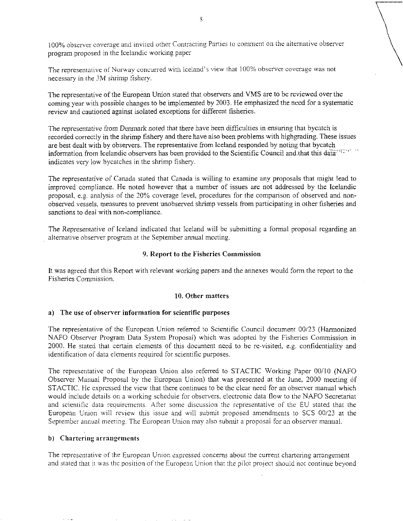100% observer coverage and invited other Contracting Parties to comment on the alternative observer program proposed in the Icelandic working paper

The representative of Norway concurred with Iceland's view that 100% observer coverage was not necessary in the 3M shrimp *fishery.* 

The representative of the European Union stated that observers and VMS are to be reviewed over the coming year with possible changes to be implemented by 2003. He emphasized the need for a systematic review and cautioned against isolated exceptions for different fisheries.

The representative from *Denmark* noted that there have been difficulties in ensuring that bycatch is recorded correctly in the shrimp fishery and there have also been problems with highgrading. These issues are best dealt with by observers. The representative from Iceland responded by noting that bycatch information from Icelandic observers has been provided to the Scientific Council and that this data<sup>riques</sup> indicates very low bycatches in the shrimp fishery.

The representative *of Canada* stated that Canada is willing to examine any proposals that might lead to improved compliance. He noted however that a number of issues are not addressed by the Icelandic proposal, e.g. analysis of the 20% coverage level, procedures for the comparison of observed and nonobserved vessels, measures to prevent unobserved shrimp vessels from participating in other fisheries and sanctions to deal with non-compliance.

The *Representative of* Iceland indicated that Iceland will be submitting a formal proposal regarding an alternative observer program at the September annual meeting.

# 9. Report to the Fisheries Commission

It was agreed that this Report with relevant working papers and the annexes would form the report to the Fisheries Commission.

### 10. Other matters

#### a) The use of observer information for scientific purposes

The representative of the European Union referred to Scientific Council document 00/23 (Harmonized NAFO Observer Program Data System Proposal) which was adopted by the Fisheries Commission in 2000. He stated that certain elements of this document need to be re-visited, e.g. confidentiality and identification of data elements required for scientific purposes.

The representative of the European Union also referred to STACTIC Working Paper 00/10 (NAFO Observer Manual Proposal by the European Union) that was presented at the June, 2000 meeting of STACTIC. He expressed the view that there continues to be the clear need for an observer manual which would include details on a working schedule for observers, electronic data flow to the NAFO Secretariat and scientific data requirements. After some discussion the representative of the EU stated that the European Union will review this issue and will submit proposed amendments to SCS 00/23 at the September annual meeting. The European Union may also submit a proposal for an observer manual.

#### b) Chartering arrangements

The representative of the European Union expressed concerns about the current chartering arrangement and stated that it was the position of the European Union that the pilot project should not continue beyond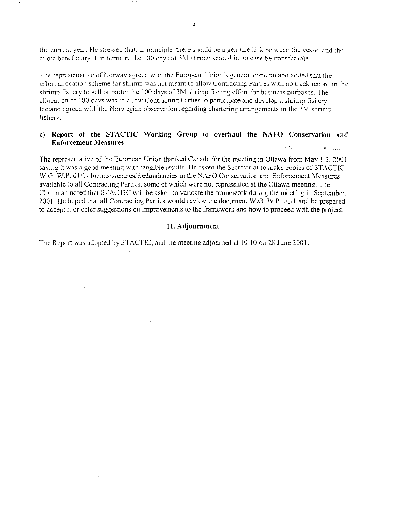the current year. He stressed that. in principle. there should be a genuine link between the vessel and the quota beneficiary. Furthermore the 100 days of 3M shrimp should in no case be transferable.

The representative of Norway agreed with the European Union's general concern and added that the effort allocation scheme for shrimp was not meant to allow Contracting Parties with no track record in the shrimp fishery to sell or barter the 100 days of 3M shrimp fishing effort for business purposes. The allocation of 100 days was to allow Contracting Parties to participate and develop a shrimp fishery. Iceland agreed with the Norwegian observation regarding chartering arrangements in the 3M shrimp fishery.

#### c) Report of the STACTIC Working Group to overhaul the NAFO Conservation and Enforcement Measures a ti

The representative of the European Union thanked Canada for the meeting in Ottawa from May 1-3, 2001 saying it was a good meeting with tangible results. He asked the Secretariat to make copies of STACTIC W.G. W.P. 01/1- Inconsistencies/Redundancies in the NAFO Conservation and Enforcement Measures available to all Contracting Parties, some of which were not represented at the Ottawa meeting. The Chairman noted that STACTIC will be asked to validate the framework during the meeting in September, 2001. He hoped that all Contracting Parties would review the document W.G. W.P. 01/1 and be prepared to accept it or offer suggestions on improvements to the framework and how to proceed with the project.

#### 11. Adjournment

The Report was adopted by STACTIC, and the meeting adjourned at 10.10 on 28 June 2001.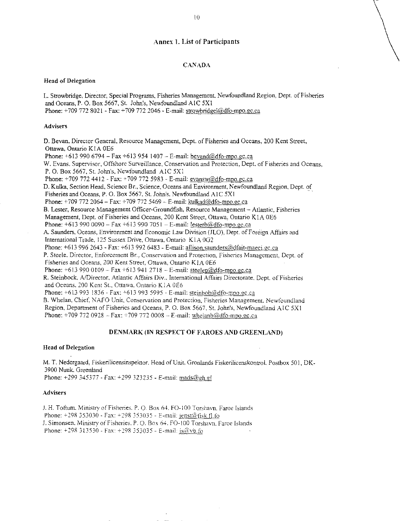# Annex 1. List of Participants

#### CANADA

#### Head of Delegation

L. Strowbridge, Director, Special Programs Fisheries Management, Newfoundland Region. Dept. of Fisheries and Oceans, P. 0. Box 5667, St. John's, Newfoundland AIC 5X1 Phone: +709 772 8021 - Fax: +709 772 2046 - E-mail: strowbridgel@dfo-mpo.gc.ca

#### Advisers

D. Bevan, Director General, Resource Management, Dept. of Fisheries and Oceans, 200 Kent Street, Ottawa, Ontario K1A 0E6 Phone:  $+6139906794 - Fax +6139541407 - E-mail: bevand@dfo-mpo.gc.ca$ W. Evans. Supervisor, Offshore Surveillance, Conservation and Protection, Dept. of Fisheries and Oceans, P. 0. Box 5667, St. John's, Newfoundland AJC 5X1 Phone: +709 772 4412 - Fax: +709 772 5983 - E-mail: evanswadfo-mpo.gc.ca D. Kulka, Section Head, Science Br., Science, Oceans and Environment, Newfoundland Region, Dept. of Fisheries and Oceans, P. O. Box 5667, St. John's, Newfoundland A1C 5X1 Phone: +709 772 2064 – Fax: +709 772 5469 – E-mail: kulkad@dfo-mpo.gc.ca B. Lester, Resource Management Officer-Groundfish, Resource Management — Atlantic, Fisheries Management, Dept. of Fisheries and Oceans, 200 Kent Street, Ottawa; Ontario K IA 0E6 Phone:  $+6139900090 - Fax +6139907051 - E-mail: lesterb@dfo-mpo.gc.ca$ A. Saunders, Oceans, Environment and Economic Law Division (ILO), Dept. of Foreign Affairs and International Trade. 125 Sussex Drive, Ottawa, Ontario K1A 002 Phone:  $+6139962643$  - Fax:  $+6139926483$  - E-mail: allison.saunders@dfait-maeci.gc.ca P. Steele. Director. Enforcement Br., Conservation and Protection, Fisheries Management, Dept. of Fisheries and Oceans, 200 Kent Street, Ottawa, Ontario KIA 0E6 Phone:  $+6139900109 - Fax +6139412718 - E-mail: steelep@dfo-mpo.gc.ca$ R. Steinbock. AJDirector, Atlantic Affairs Div.. International Affairs Directorate. Dept. of Fisheries and Oceans, 200 Kent St., Ottawa. Ontario KIA 0E6 Phone: +613 993 1836 - Fax: +613 993 5995 - E-mail: steinbob@dfo-mpo.gc.ca B. Whelan. Chief, NAFO Unit, Conservation and Protection, Fisheries Management. Newfoundland Region, Department of Fisheries and Oceans, P. O. Box 5667, St. John's, Newfoundland AIC 5X1 Phone: +709 772 0928 - Fax: +709 772 0008 - E-mail: whelanb@dfo-mpo.gc.ca

#### **DENMARK (IN RESPECT OF FAROES AND GREENLAND)**

#### **Head of Delegation**

M. T. Nedergaard, Fiskerilicensinspektor, Head of Unit, Gronlands Fiskerilicenskontrol, Postbox 501, DK-3900 Nuuk. Greenland Phone: +299 345377 - Fax: +299 323235 - E-mail: mads@gh.gl

#### **Advisers**

J. H. Totium. Ministry of Fisheries. P. O. Box 64. F0-100 Torshavn, Faroe Islands Phone:  $\pm 298$  353030 - Fax:  $\pm 298$  353035 - E-mail: jenst( $\hat{\omega}$ fisk.fl.fo J. Simonsen. Ministry of Fisheries. P.O. Box 64. FO-100 Torshavn. Faroe Islands Phone:  $+298$  313530 - Fax:  $+298$  353035 - E-mail:  $is@vb$  fo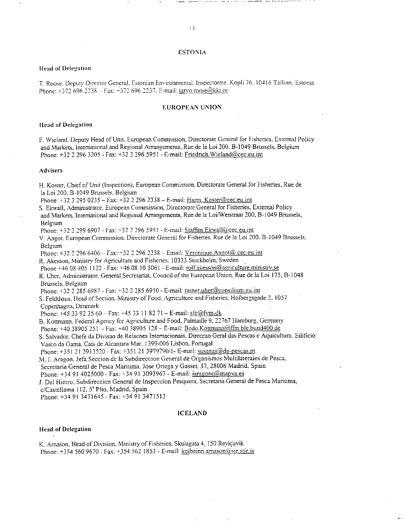#### ESTONIA

#### Head of Delegation

T. Roose. Deputy Director General. Estonian Environmental. Inspectorate. Kopli 76. 10416 Tallinn. Estonia Phone: +372 696 2238 - Fax: +372 696 2237. E-mail: tarvo.roose@kki.ee

#### EUROPEAN UNION

#### Head of Delegation

F. Wieland. Deputy Head of Unit. European Commission. Directorate General for Fisheries. External Policy and Markets, International and Regional Arrangements. Rue de la Loi 200, B-I049 Brussels, Belgium Phone: +32 2 296 3205 - Fax: +32 2 296 5951 - E-mail: Friedrich. Wieland@cec.eu.int

#### Advisers

H. Koster, Chief of Unit (Inspection), European Commission, Directorate General for Fisheries, Rue de la Loi 200. B-1049 Brussels. Belgium Phone: +32 2 295 0235 - Fax: +32 2 296 2338 - E-mail: Harm. Koster@cec.eu.int S. Ekwall, Administrator. European Commission, Directorate General for Fisheries. External Policy and Markets, International and Regional Arrangements, Rue de la Loi/Wetstraat 200, B-1049 Brussels, Belgium Phone: +32 2 299 6907 - Fax: +32 2 296 5951 - E-mail: Staffan.Ekwall@cec.eu.int V. Angot. European Commission. Directorate General for Fisheries. Rue de la Loi 200. B-1049 Brussels, Belgium Phone: +32 2 296 6406 - Fax: +32 2 296 2338 - Email: Veronique.Angot@ cec.eu.int R. Akesson, Ministry for Agriculture and Fisheries. 10333 Stockholm. Sweden • Phone +46 08 405 1122 - Fax: +46 08 10 5061 - E-mail: rolf.akesson@agriculture.ministry.se R. Uher, Administrator, General Secretariat, Council of the European Union, Rue de la Loi 175, B-1048 Brussels, Belgium Phone: +32 2 285 6987 - Fax: +32 2 285 6910 - E-mail: rainer.uher@consilium.eu.int S. Feldthaus. Head of Section. Ministry of Food. Agriculture and Fisheries. Holbergsgade 2. 1057 Copenhagen, Denmark Phone: +45 33 92 35 60 - Fax: +45 33 11 82 71 - E-mail: sfe@fvm.dk B. Kottrnann, Federal Agency for Agriculture and Food, Paimaille 9, 22767 Hamburg, Germany Phone: +40 38905 251 - Fax: +40 38905 128 - E-mail: Bodo.Kottmann@ffm.ble.bund400.de S. Salvador. Chefe da Divisao de Relacoes Intemacionais, Direccao Gerai das Pescas e Aquicultura. Edificio Vasco da Gama. Cais de Alcantara Mar. 1399-006 Lisbon, Portugal Phone: +351 21 3913520 - Fax: +351 21 3979790/1- E-mail: susanas@dg-pescas.pt M. I. Aragon, Jefa Seccion de la Subdireccion General de Organismos Multilaterales de Pesca, Secretaria General de Pesca Maritima, Jose Ortega y Gasset. 57, 28006 Madrid, Spain Phone: +34 91 4025000 - Fax: +34 91 3093967 - E-mail: jaragonc@mapva.es J. Del Hierro, Subdireccion General de Inspeccion Pesquera, Secretaria General de Pesca Maritima, c/Castellama 112, 5<sup>ª</sup> Plto, Madrid, Spain

Phone: +34 91 3471645 - Fax: +34 91 3471512

#### ICELAND

#### Head of Delegation

K. Amason, Head of Division, Ministry of Fisheries, Skulagata 4, 150 Reykjavik Phone: +354 560 9670 - Fax: +354 562 1853 - E-mail: kolbeinn.arnason@sir.stir.is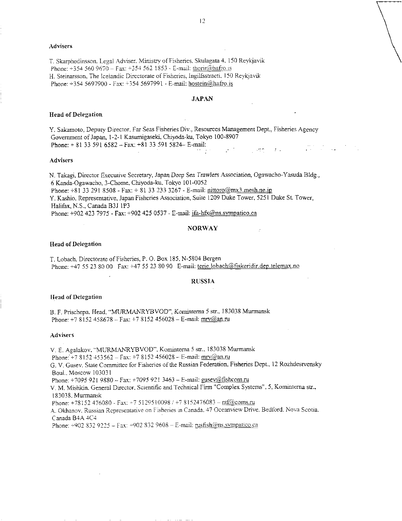#### Advisers

T. Skarphedinsson. Legal Adviser. Ministry of Fisheries. Skulagata 4, 150 Reykjavik Phone: +354 560 9670 - Fax: +354 562 1853 - E-mail: thorir@hafro.is H. Steinarsson, The lceiandic Directorate of Fisheries. Ingilfsstraeti, 150 Reykjavik Phone: +354 5697900 - Fax: +354 5697991 - E-mail: hostein@hafro.is

#### JAPAN

#### Head of Delegation

Y. Sakamoto, Deputy Director, Far Seas Fisheries Div., Resources Management Dept., Fisheries Agency Government of Japan, 1-2-1 Kasumigaseld, Chiyoda-ku, Tokyo 100-8907 Phone: + 81 33 591 6582 — Fax: +81 33 591 5824— E-mail:  $\tau$  .  $\sim$  42  $\sigma$ 

#### Advisers

N. Takagi, Director Executive Secretary, Japan Deep Sea *Trawlers Association,* Ogawacho-Yasuda Bldg., 6 Kanda-Ogawacho, 3-Chome, Chiyoda-ku, Tokyo 101-0052 Phone:  $\pm 81$  33 291 8508 - Fax:  $\pm 81$  33 233 3267 - E-mail: nittoro@mx3.mesh.ne.jp

Y. Kashio, Representative, Japan Fisheries Association, Suite 1209 Duke Tower, 5251 Duke St. Tower, Halifax, N.S., Canada B3J 1P3

Phone: +902 423 7975 - Fax: +902 425 0537 - E-mail: jfa-hfx@ns.sympatico.ca

#### NORWAY

#### Head of Delegation

T. Lobach, Directorate of Fisheries, P.O. Box 185, N-5804 Bergen Phone: +47 55 23 80 00 Fax: +47 55 23 80 90 E-mail: terje.lobach@fiskeridir.dep.telemax.no

#### RUSSIA

#### Head of Delegation

B. F. Prischepa. Head. "MURMANRYBVOD", *Kominterna 5 str.*, 183038 Murmansk Phone: +7 8152 458678 - Fax: +7 8152 456028 - E-mail: mrv@an.ru

#### Advisers

V. E. Agalakov. "MURMANRYBVOD". Komintema 5 str., 183038 Murmansk Phone: +7 3152 453562 - Fax: +7 3152 456028 - E-mail: mrv@an.ru G. V. Gusev. State Committee for Fisheries of the Russian Federation, Fisheries Dept., 12 Rozhdestvensky Bout.. Moscow 103031 Phone: +7095 921 9880 - Fax: +7095 921 3463 - E-mail: gusev@fishcom.ru V. M. Mishkin. General Director, Scientific and Technical Firm "Complex Systems", 5, Komintema str., 183038. Murmansk Phone: +78152 476080 - Fax: +7 5129510098 / +7 8152476083 - ntf@coms.ru A. Okhanov. Russian Representative on Fisheries in Canada. 47 Oceanview Drive. Bedford. Nova Scotia, Canada B4A 4C4 Phone:  $+9028329225 - Fax: +9028329608 - E-mail: [rustish@ns,sympatico.ca](mailto:rustish@ns,sympatico.ca)$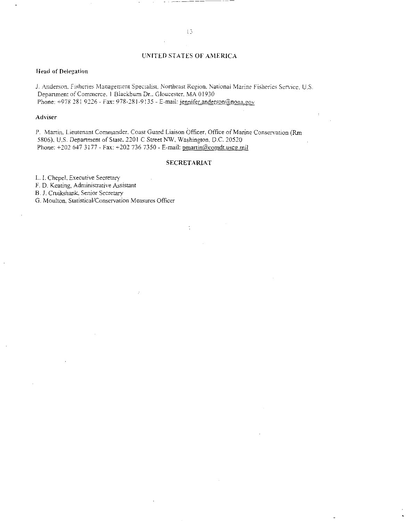### UNITED STATES OF AMERICA

#### Head of Delegation

J. Anderson. Fisheries Management Specialist. Northeast Region. National Marine Fisheries Service. U.S. Department of Commerce. 1 Blackburn Dr.. Gloucester, MA 01930 Phone: +978 281 9226 - Fax: 978-281-9135 - E-mail: jennifer.anderson@noaa.gov

#### Adviser

P. Martin. Lieutenant Commander. Coast Guard Liaison Officer. Office of Marine Conservation (Rm 5806), U.S. Department of State, 2201 C Street NW, Washington. D.C. 20520 Phone: +202 647 3177 - Fax: +202 736 7350 - E-mail: pmartin@comdt.uscg.mil

#### SECRETARIAT

L. I. Chepel, Executive Secretary

F. D. Keating. Administrative Assistant

B. J. Cruikshank, Senior Secretary

G. Moulton. Statistical/Conservation Measures Officer